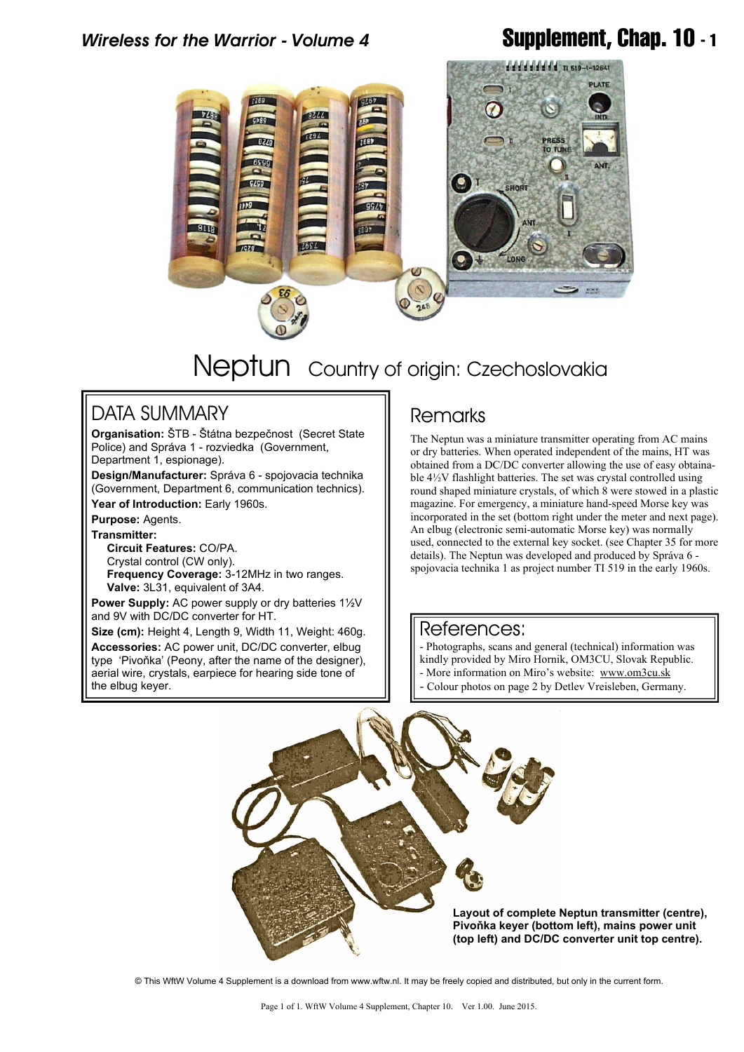## *Wireless for the Warrior - Volume 4* **Supplement, Chap. 10 - 1**



# Neptun Country of origin: Czechoslovakia

### DATA SUMMARY

**Organisation:** ŠTB - Štátna bezpečnost (Secret State Police) and Správa 1 - rozviedka (Government, Department 1, espionage).

**Design/Manufacturer:** Správa 6 - spojovacia technika (Government, Department 6, communication technics). **Year of Introduction:** Early 1960s.

**Purpose:** Agents.

**Transmitter: Circuit Features:** CO/PA.

 Crystal control (CW only).  **Frequency Coverage:** 3-12MHz in two ranges.  **Valve:** 3L31, equivalent of 3A4.

**Power Supply:** AC power supply or dry batteries 1½V and 9V with DC/DC converter for HT.

**Size (cm):** Height 4, Length 9, Width 11, Weight: 460g. **Accessories:** AC power unit, DC/DC converter, elbug type 'Pivoňka' (Peony, after the name of the designer), aerial wire, crystals, earpiece for hearing side tone of the elbug keyer.

### **Remarks**

The Neptun was a miniature transmitter operating from AC mains or dry batteries. When operated independent of the mains, HT was obtained from a DC/DC converter allowing the use of easy obtainable 4½V flashlight batteries. The set was crystal controlled using round shaped miniature crystals, of which 8 were stowed in a plastic magazine. For emergency, a miniature hand-speed Morse key was incorporated in the set (bottom right under the meter and next page). An elbug (electronic semi-automatic Morse key) was normally used, connected to the external key socket. (see Chapter 35 for more details). The Neptun was developed and produced by Správa 6 spojovacia technika 1 as project number TI 519 in the early 1960s.

#### References:

- Photographs, scans and general (technical) information was
- kindly provided by Miro Hornik, OM3CU, Slovak Republic.
- More information on Miro's website: [www.om3cu.sk](http://www.om3cu.sk)
- Colour photos on page 2 by Detlev Vreisleben, Germany.



**Pivoňka keyer (bottom left), mains power unit (top left) and DC/DC converter unit top centre).**

© This WftW Volume 4 Supplement is a download from www.wftw.nl. It may be freely copied and distributed, but only in the current form.